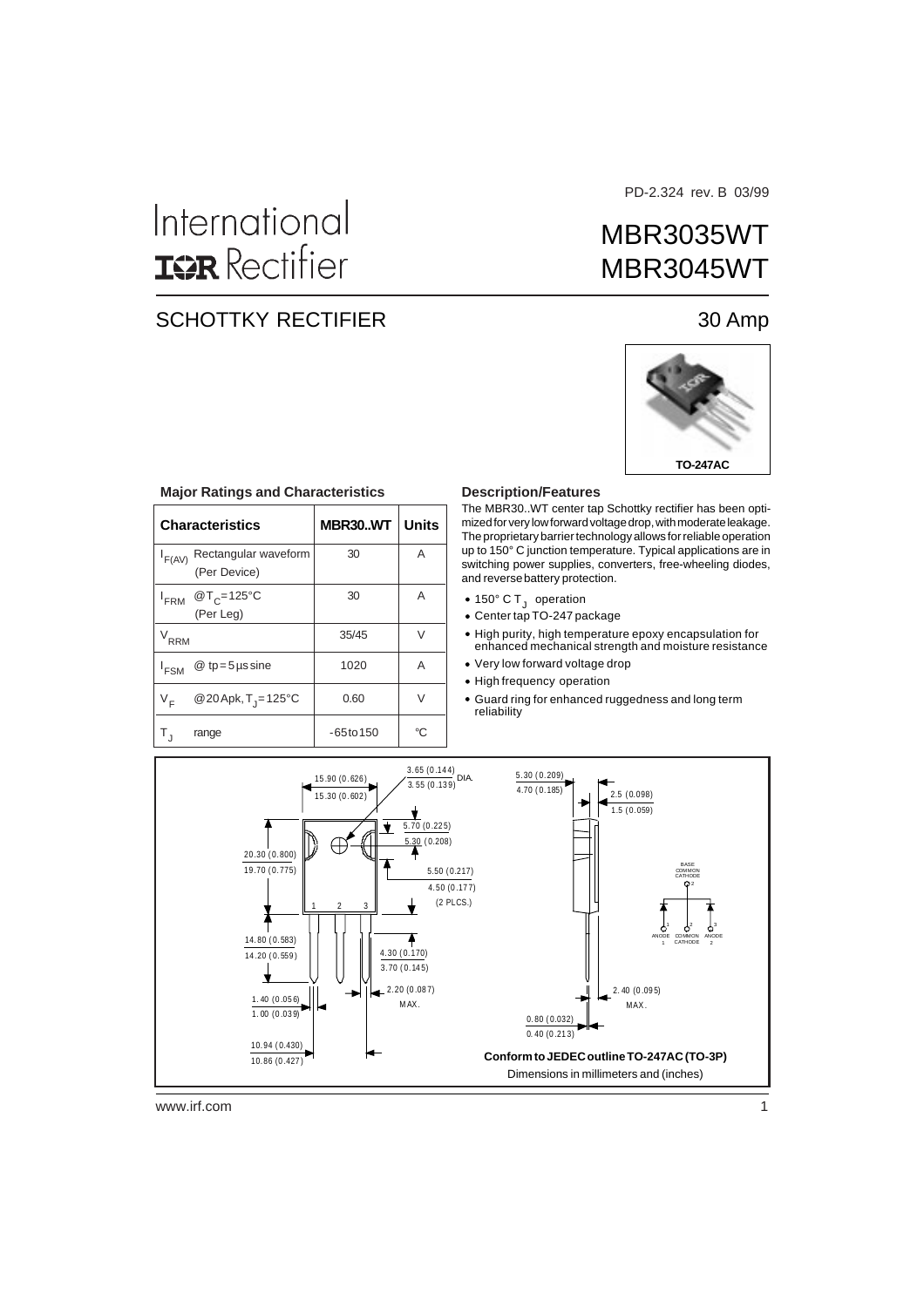# International **ISR** Rectifier

#### SCHOTTKY RECTIFIER 30 Amp

PD-2.324 rev. B 03/99

## MBR3035WT MBR3045WT



|                  | <b>Characteristics</b>               | <b>MBR30WT</b> | <b>Units</b> |
|------------------|--------------------------------------|----------------|--------------|
| $I_{F(AV)}$      | Rectangular waveform<br>(Per Device) | 30             | A            |
| <sup>I</sup> FRM | @T <sub>C</sub> =125°C<br>(Per Leg)  | 30             | A            |
| $V_{RRM}$        |                                      | 35/45          | V            |
| <sup>I</sup> FSM | $@tp=5$ µs sine                      | 1020           | A            |
| V <sub>F</sub>   | @20Apk, T <sub>j</sub> =125°C        | 0.60           | $\vee$       |
|                  | range                                | $-65$ to $150$ | °C           |

#### **Major Ratings and Characteristics**

#### **Description/Features**

The MBR30..WT center tap Schottky rectifier has been optimized for very low forward voltage drop, with moderate leakage. The proprietary barrier technology allows for reliable operation up to 150° C junction temperature. Typical applications are in switching power supplies, converters, free-wheeling diodes, and reverse battery protection.

- 150° C T<sub>J</sub> operation
- Center tap TO-247 package
- High purity, high temperature epoxy encapsulation for enhanced mechanical strength and moisture resistance
- Very low forward voltage drop
- High frequency operation
- Guard ring for enhanced ruggedness and long term reliability



www.irf.com 1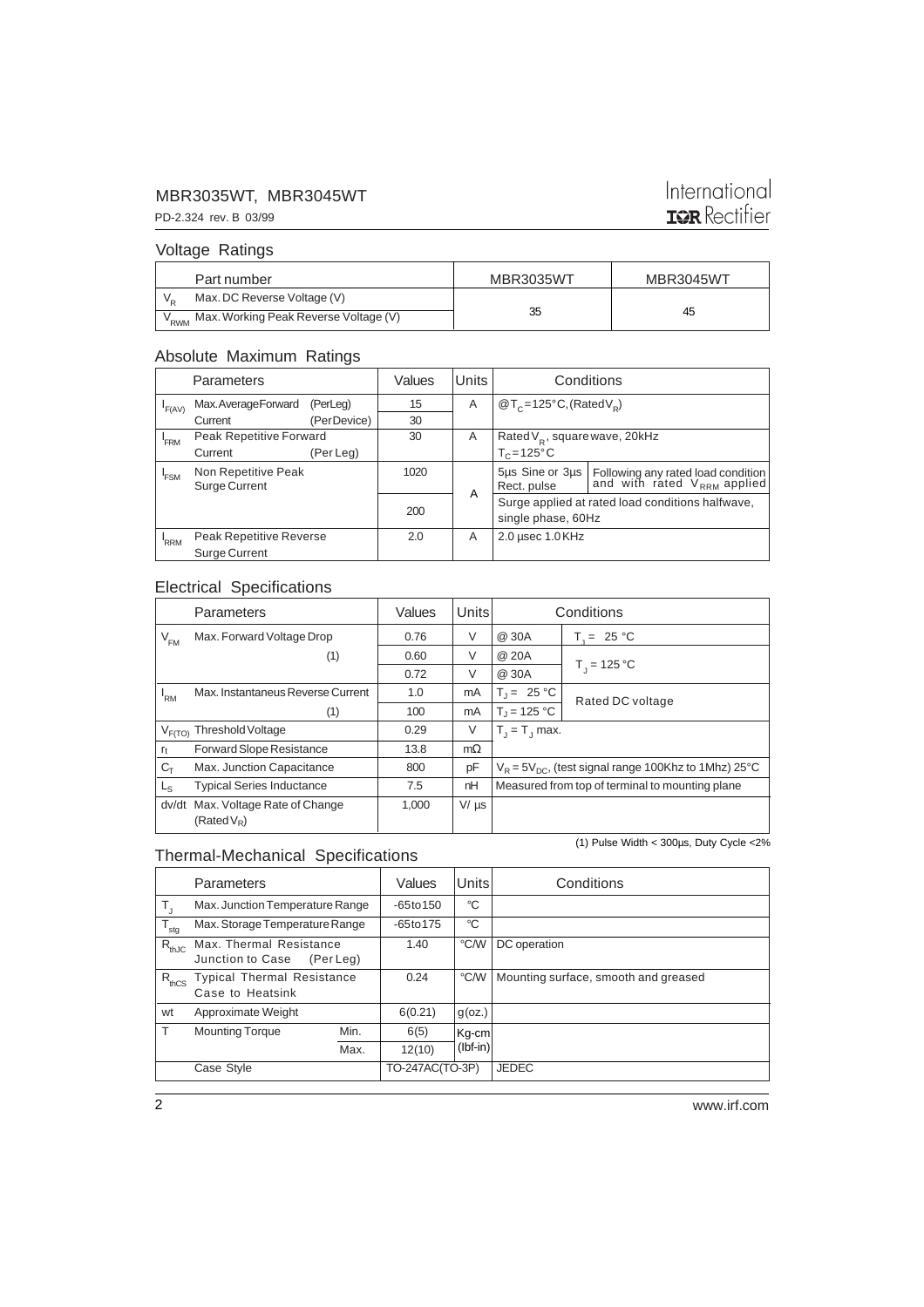#### MBR3035WT, MBR3045WT

### International **IQR** Rectifier

PD-2.324 rev. B 03/99 Voltage Ratings

| Part number                                            | <b>MBR3035WT</b> | MBR3045WT |
|--------------------------------------------------------|------------------|-----------|
| Max. DC Reverse Voltage (V)                            |                  |           |
| V <sub>RWM</sub> Max. Working Peak Reverse Voltage (V) | 35               | 45        |

#### Absolute Maximum Ratings

| Parameters |                                          | Values      | Units    | Conditions |                                                  |                                                                     |
|------------|------------------------------------------|-------------|----------|------------|--------------------------------------------------|---------------------------------------------------------------------|
| F(AV)      | Max.AverageForward                       | (PerLeg)    | 15       | A          | $\mathcal{Q}T_c = 125^{\circ}C$ , (Rated $V_p$ ) |                                                                     |
|            | Current                                  | (PerDevice) | 30       |            |                                                  |                                                                     |
| 'FRM       | Peak Repetitive Forward                  |             | 30       | A          | Rated $V_R$ , square wave, 20kHz                 |                                                                     |
|            | Current                                  | (Per Leg)   |          |            | $T_c = 125$ °C                                   |                                                                     |
| 'FSM       | Non Repetitive Peak<br>Surge Current     |             | 1020     |            | 5µs Sine or 3µs<br>Rect. pulse                   | Following any rated load condition and with rated $V_{RRM}$ applied |
|            |                                          |             | A<br>200 |            | single phase, 60Hz                               | Surge applied at rated load conditions halfwave,                    |
| <b>RRM</b> | Peak Repetitive Reverse<br>Surge Current |             | 2.0      | A          | $2.0$ usec $1.0$ KHz                             |                                                                     |

#### Electrical Specifications

| Parameters      |                                              | Values | <b>Units</b> | Conditions                                                |                  |
|-----------------|----------------------------------------------|--------|--------------|-----------------------------------------------------------|------------------|
| $V_{FM}$        | Max. Forward Voltage Drop                    | 0.76   | V            | @ 30A                                                     | $T_{1} = 25 °C$  |
|                 | (1)                                          | 0.60   | V            | @ 20A                                                     |                  |
|                 |                                              | 0.72   | V            | @ 30A                                                     | $T_1 = 125 °C$   |
| <sup>1</sup> RM | Max, Instantaneus Reverse Current            | 1.0    | mA           | $T_1 = 25 °C$                                             | Rated DC voltage |
|                 | (1)                                          | 100    | mA           | $T_1 = 125 °C$                                            |                  |
|                 | Threshold Voltage<br>$V_{F(TO)}$             |        | V            | $T_1 = T_1$ max.                                          |                  |
| $r_t$           | <b>Forward Slope Resistance</b>              | 13.8   | $m\Omega$    |                                                           |                  |
| $C_{\text{T}}$  | Max. Junction Capacitance                    | 800    | pF           | $V_R = 5V_{DC}$ , (test signal range 100Khz to 1Mhz) 25°C |                  |
| L <sub>S</sub>  | <b>Typical Series Inductance</b>             | 7.5    | nH           | Measured from top of terminal to mounting plane           |                  |
| dv/dt           | Max. Voltage Rate of Change<br>$(Rated V_R)$ | 1,000  | $V/\mu s$    |                                                           |                  |

#### Thermal-Mechanical Specifications

(1) Pulse Width < 300µs, Duty Cycle <2%

|                  | Parameters                                            |           | Values          | Units      | Conditions                           |
|------------------|-------------------------------------------------------|-----------|-----------------|------------|--------------------------------------|
| т,               | Max. Junction Temperature Range                       |           | $-65$ to 150    | °C         |                                      |
| $T_{\text{stg}}$ | Max. Storage Temperature Range                        |           | $-65$ to 175    | °C         |                                      |
| $R_{thJC}$       | Max. Thermal Resistance<br>Junction to Case           | (Per Leg) | 1.40            | °C/W       | DC operation                         |
| $R_{thCS}$       | <b>Typical Thermal Resistance</b><br>Case to Heatsink |           | 0.24            | ℃⁄W        | Mounting surface, smooth and greased |
| wt               | Approximate Weight                                    |           | 6(0.21)         | $g$ (oz.)  |                                      |
| T                | <b>Mounting Torque</b>                                | Min.      | 6(5)            | $Kq$ -cm   |                                      |
|                  |                                                       | Max.      | 12(10)          | $(Ibf-in)$ |                                      |
|                  | Case Style                                            |           | TO-247AC(TO-3P) |            | <b>JEDEC</b>                         |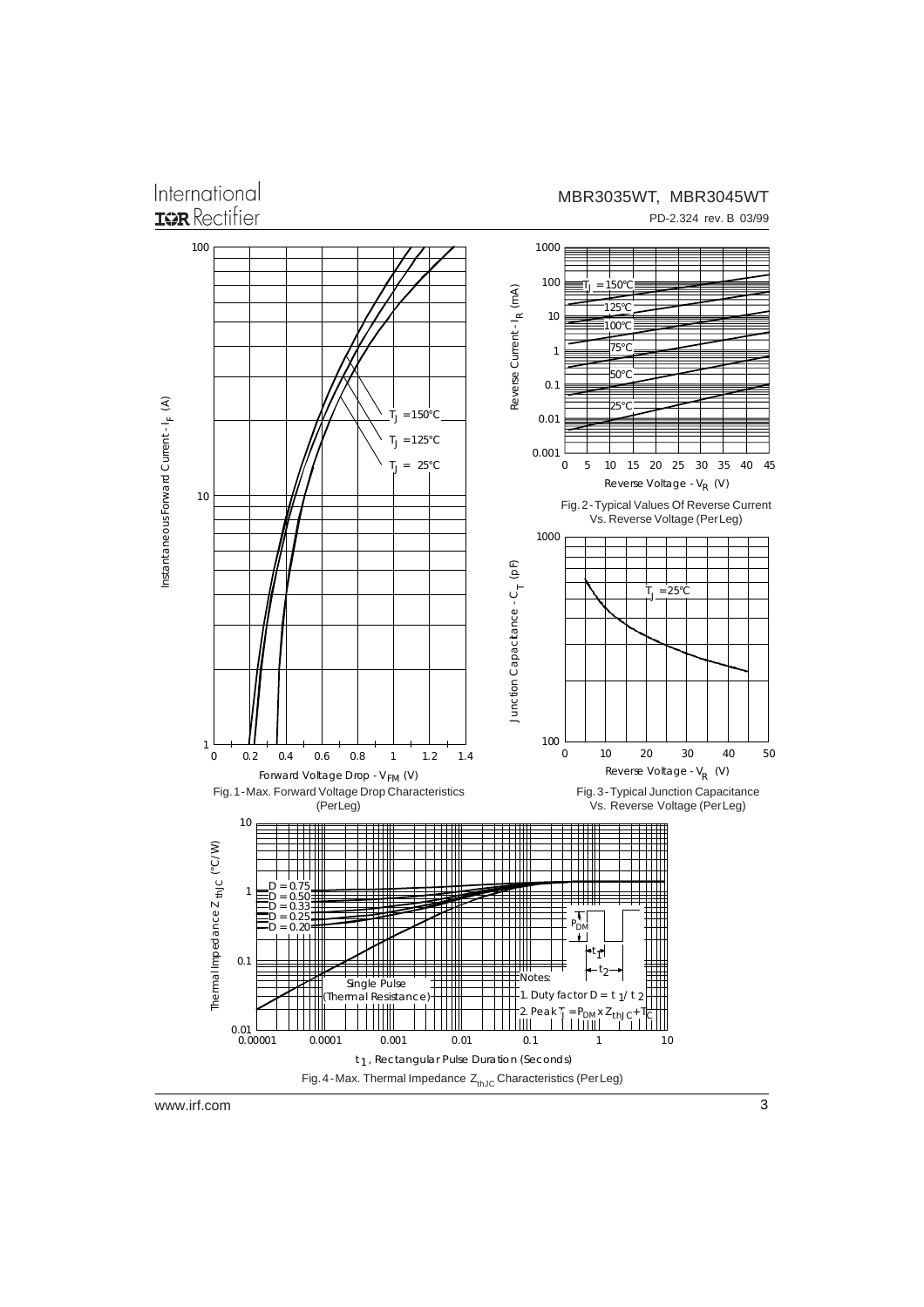International **IGR** Rectifier

#### MBR3035WT, MBR3045WT

PD-2.324 rev. B 03/99

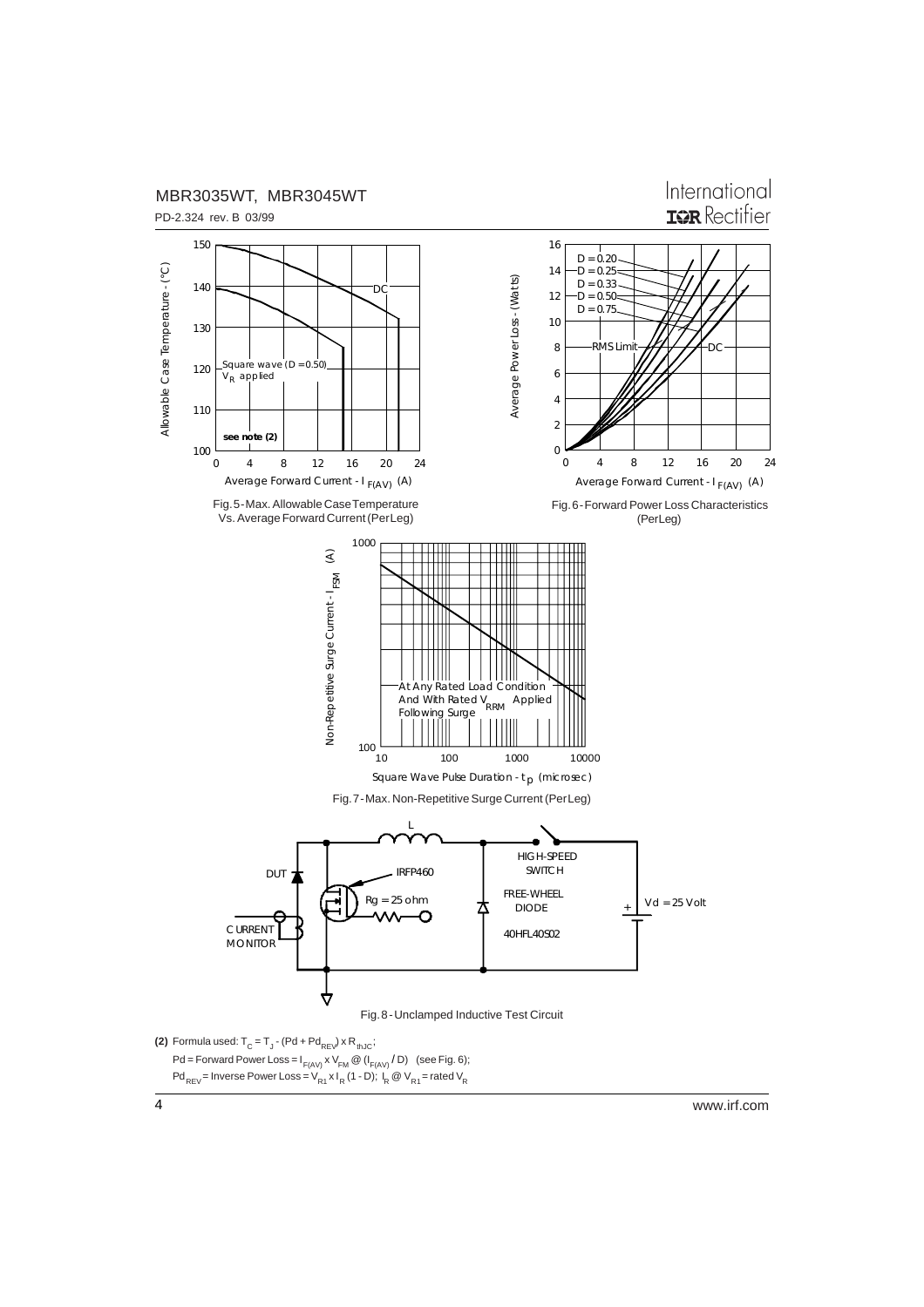

International **ISR** Rectifier